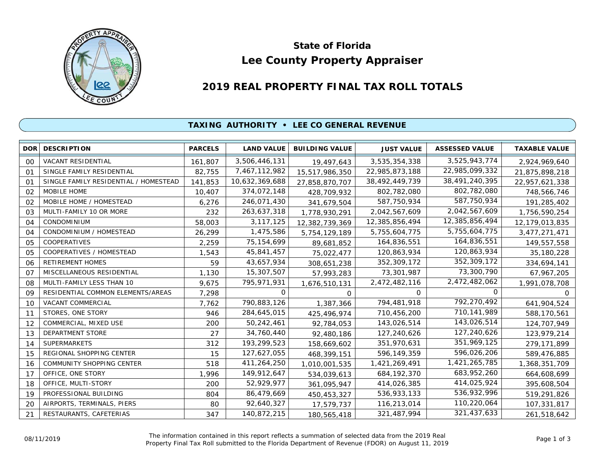

# **Lee County Property Appraiser State of Florida**

# **2019 REAL PROPERTY FINAL TAX ROLL TOTALS**

#### **TAXING AUTHORITY • LEE CO GENERAL REVENUE**

| DOR <sup>1</sup> | <b>DESCRIPTION</b>                    | <b>PARCELS</b> | <b>LAND VALUE</b> | <b>BUILDING VALUE</b> | <b>JUST VALUE</b> | <b>ASSESSED VALUE</b> | <b>TAXABLE VALUE</b> |
|------------------|---------------------------------------|----------------|-------------------|-----------------------|-------------------|-----------------------|----------------------|
| 00               | VACANT RESIDENTIAL                    | 161,807        | 3,506,446,131     | 19,497,643            | 3,535,354,338     | 3,525,943,774         | 2,924,969,640        |
| O <sub>1</sub>   | SINGLE FAMILY RESIDENTIAL             | 82,755         | 7,467,112,982     | 15,517,986,350        | 22,985,873,188    | 22,985,099,332        | 21,875,898,218       |
| O <sub>1</sub>   | SINGLE FAMILY RESIDENTIAL / HOMESTEAD | 141,853        | 10,632,369,688    | 27,858,870,707        | 38,492,449,739    | 38,491,240,395        | 22,957,621,338       |
| 02               | <b>MOBILE HOME</b>                    | 10,407         | 374,072,148       | 428,709,932           | 802,782,080       | 802,782,080           | 748,566,746          |
| 02               | MOBILE HOME / HOMESTEAD               | 6,276          | 246,071,430       | 341,679,504           | 587,750,934       | 587,750,934           | 191,285,402          |
| 03               | MULTI-FAMILY 10 OR MORE               | 232            | 263,637,318       | 1,778,930,291         | 2,042,567,609     | 2,042,567,609         | 1,756,590,254        |
| 04               | CONDOMINIUM                           | 58,003         | 3, 117, 125       | 12,382,739,369        | 12,385,856,494    | 12,385,856,494        | 12,179,013,835       |
| 04               | CONDOMINIUM / HOMESTEAD               | 26,299         | 1,475,586         | 5,754,129,189         | 5,755,604,775     | 5,755,604,775         | 3,477,271,471        |
| 05               | COOPERATIVES                          | 2,259          | 75, 154, 699      | 89,681,852            | 164,836,551       | 164,836,551           | 149,557,558          |
| 05               | COOPERATIVES / HOMESTEAD              | 1,543          | 45,841,457        | 75,022,477            | 120,863,934       | 120,863,934           | 35,180,228           |
| 06               | RETIREMENT HOMES                      | 59             | 43,657,934        | 308,651,238           | 352,309,172       | 352,309,172           | 334,694,141          |
| 07               | MISCELLANEOUS RESIDENTIAL             | 1,130          | 15,307,507        | 57,993,283            | 73,301,987        | 73,300,790            | 67,967,205           |
| 08               | MULTI-FAMILY LESS THAN 10             | 9,675          | 795,971,931       | 1,676,510,131         | 2,472,482,116     | 2,472,482,062         | 1,991,078,708        |
| 09               | RESIDENTIAL COMMON ELEMENTS/AREAS     | 7,298          | 0                 | $\Omega$              | 0                 | O                     | <sup>o</sup>         |
| 10               | VACANT COMMERCIAL                     | 7,762          | 790,883,126       | 1,387,366             | 794,481,918       | 792,270,492           | 641,904,524          |
| 11               | STORES, ONE STORY                     | 946            | 284,645,015       | 425,496,974           | 710,456,200       | 710,141,989           | 588,170,561          |
| 12               | COMMERCIAL, MIXED USE                 | 200            | 50,242,461        | 92,784,053            | 143,026,514       | 143,026,514           | 124,707,949          |
| 13               | DEPARTMENT STORE                      | 27             | 34,760,440        | 92,480,186            | 127,240,626       | 127,240,626           | 123,979,214          |
| 14               | <b>SUPERMARKETS</b>                   | 312            | 193,299,523       | 158,669,602           | 351,970,631       | 351,969,125           | 279,171,899          |
| 15               | REGIONAL SHOPPING CENTER              | 15             | 127,627,055       | 468,399,151           | 596,149,359       | 596,026,206           | 589,476,885          |
| 16               | COMMUNITY SHOPPING CENTER             | 518            | 411,264,250       | 1,010,001,535         | 1,421,269,491     | 1,421,265,785         | 1,368,351,709        |
| 17               | OFFICE, ONE STORY                     | 1,996          | 149,912,647       | 534,039,613           | 684, 192, 370     | 683,952,260           | 664,608,699          |
| 18               | OFFICE, MULTI-STORY                   | 200            | 52,929,977        | 361,095,947           | 414,026,385       | 414,025,924           | 395,608,504          |
| 19               | PROFESSIONAL BUILDING                 | 804            | 86,479,669        | 450,453,327           | 536,933,133       | 536,932,996           | 519,291,826          |
| 20               | AIRPORTS, TERMINALS, PIERS            | 80             | 92,640,327        | 17,579,737            | 116,213,014       | 110,220,064           | 107,331,817          |
| 21               | RESTAURANTS, CAFETERIAS               | 347            | 140,872,215       | 180,565,418           | 321,487,994       | 321,437,633           | 261,518,642          |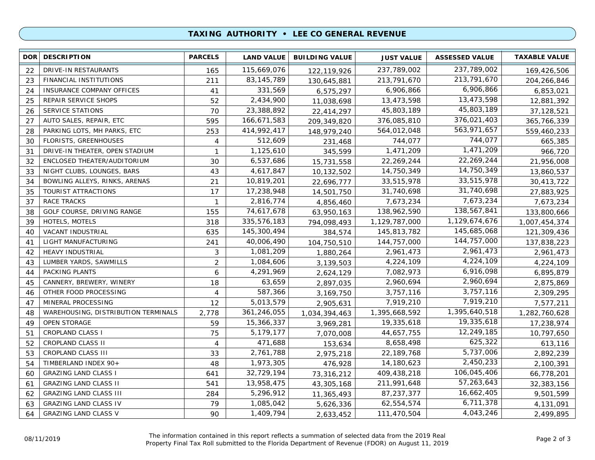## **TAXING AUTHORITY • LEE CO GENERAL REVENUE**

| <b>DOR</b> | <b>DESCRIPTION</b>                  | <b>PARCELS</b>    | <b>LAND VALUE</b> | <b>BUILDING VALUE</b> | <b>JUST VALUE</b> | <b>ASSESSED VALUE</b> | <b>TAXABLE VALUE</b> |
|------------|-------------------------------------|-------------------|-------------------|-----------------------|-------------------|-----------------------|----------------------|
| 22         | DRIVE-IN RESTAURANTS                | 165               | 115,669,076       | 122,119,926           | 237,789,002       | 237,789,002           | 169,426,506          |
| 23         | <b>FINANCIAL INSTITUTIONS</b>       | 211               | 83, 145, 789      | 130,645,881           | 213,791,670       | 213,791,670           | 204,266,846          |
| 24         | <b>INSURANCE COMPANY OFFICES</b>    | 41                | 331,569           | 6,575,297             | 6,906,866         | 6,906,866             | 6,853,021            |
| 25         | REPAIR SERVICE SHOPS                | 52                | 2,434,900         | 11,038,698            | 13,473,598        | 13,473,598            | 12,881,392           |
| 26         | SERVICE STATIONS                    | 70                | 23,388,892        | 22,414,297            | 45,803,189        | 45,803,189            | 37,128,521           |
| 27         | AUTO SALES, REPAIR, ETC             | 595               | 166,671,583       | 209,349,820           | 376,085,810       | 376,021,403           | 365,766,339          |
| 28         | PARKING LOTS, MH PARKS, ETC         | 253               | 414,992,417       | 148,979,240           | 564,012,048       | 563,971,657           | 559,460,233          |
| 30         | <b>FLORISTS, GREENHOUSES</b>        | 4                 | 512,609           | 231,468               | 744,077           | 744,077               | 665,385              |
| 31         | DRIVE-IN THEATER, OPEN STADIUM      | $\mathbf{1}$      | 1,125,610         | 345,599               | 1,471,209         | 1,471,209             | 966,720              |
| 32         | ENCLOSED THEATER/AUDITORIUM         | 30                | 6,537,686         | 15,731,558            | 22,269,244        | 22,269,244            | 21,956,008           |
| 33         | NIGHT CLUBS, LOUNGES, BARS          | 43                | 4,617,847         | 10,132,502            | 14,750,349        | 14,750,349            | 13,860,537           |
| 34         | BOWLING ALLEYS, RINKS, ARENAS       | 21                | 10,819,201        | 22,696,777            | 33,515,978        | 33,515,978            | 30,413,722           |
| 35         | TOURIST ATTRACTIONS                 | 17                | 17,238,948        | 14,501,750            | 31,740,698        | 31,740,698            | 27,883,925           |
| 37         | <b>RACE TRACKS</b>                  | $\mathbf{1}$      | 2,816,774         | 4,856,460             | 7,673,234         | 7,673,234             | 7,673,234            |
| 38         | GOLF COURSE, DRIVING RANGE          | 155               | 74,617,678        | 63,950,163            | 138,962,590       | 138,567,841           | 133,800,666          |
| 39         | HOTELS, MOTELS                      | 318               | 335,576,183       | 794,098,493           | 1,129,787,000     | 1,129,674,676         | 1,007,454,374        |
| 40         | VACANT INDUSTRIAL                   | 635               | 145,300,494       | 384,574               | 145,813,782       | 145,685,068           | 121,309,436          |
| 41         | LIGHT MANUFACTURING                 | 241               | 40,006,490        | 104,750,510           | 144,757,000       | 144,757,000           | 137,838,223          |
| 42         | HEAVY INDUSTRIAL                    | 3                 | 1,081,209         | 1,880,264             | 2,961,473         | 2,961,473             | 2,961,473            |
| 43         | LUMBER YARDS, SAWMILLS              | $\overline{2}$    | 1,084,606         | 3,139,503             | 4,224,109         | 4,224,109             | 4,224,109            |
| 44         | PACKING PLANTS                      | 6                 | 4,291,969         | 2,624,129             | 7,082,973         | 6,916,098             | 6,895,879            |
| 45         | CANNERY, BREWERY, WINERY            | 18                | 63,659            | 2,897,035             | 2,960,694         | 2,960,694             | 2,875,869            |
| 46         | OTHER FOOD PROCESSING               | 4                 | 587,366           | 3,169,750             | 3,757,116         | 3,757,116             | 2,309,295            |
| 47         | MINERAL PROCESSING                  | $12 \overline{ }$ | 5,013,579         | 2,905,631             | 7,919,210         | 7,919,210             | 7,577,211            |
| 48         | WAREHOUSING, DISTRIBUTION TERMINALS | 2,778             | 361,246,055       | 1,034,394,463         | 1,395,668,592     | 1,395,640,518         | 1,282,760,628        |
| 49         | <b>OPEN STORAGE</b>                 | 59                | 15,366,337        | 3,969,281             | 19,335,618        | 19,335,618            | 17,238,974           |
| 51         | <b>CROPLAND CLASS I</b>             | 75                | 5,179,177         | 7,070,008             | 44,657,755        | 12,249,185            | 10,797,650           |
| 52         | CROPLAND CLASS II                   | $\overline{4}$    | 471,688           | 153,634               | 8,658,498         | 625,322               | 613,116              |
| 53         | CROPLAND CLASS III                  | 33                | 2,761,788         | 2,975,218             | 22,189,768        | 5,737,006             | 2,892,239            |
| 54         | TIMBERLAND INDEX 90+                | 48                | 1,973,305         | 476,928               | 14,180,623        | 2,450,233             | 2,100,391            |
| 60         | <b>GRAZING LAND CLASS I</b>         | 641               | 32,729,194        | 73,316,212            | 409,438,218       | 106,045,406           | 66,778,201           |
| 61         | <b>GRAZING LAND CLASS II</b>        | 541               | 13,958,475        | 43,305,168            | 211,991,648       | 57,263,643            | 32,383,156           |
| 62         | <b>GRAZING LAND CLASS III</b>       | 284               | 5,296,912         | 11,365,493            | 87,237,377        | 16,662,405            | 9,501,599            |
| 63         | <b>GRAZING LAND CLASS IV</b>        | 79                | 1,085,042         | 5,626,336             | 62,554,574        | 6,711,378             | 4,131,091            |
| 64         | <b>GRAZING LAND CLASS V</b>         | 90                | 1,409,794         | 2,633,452             | 111,470,504       | 4,043,246             | 2,499,895            |